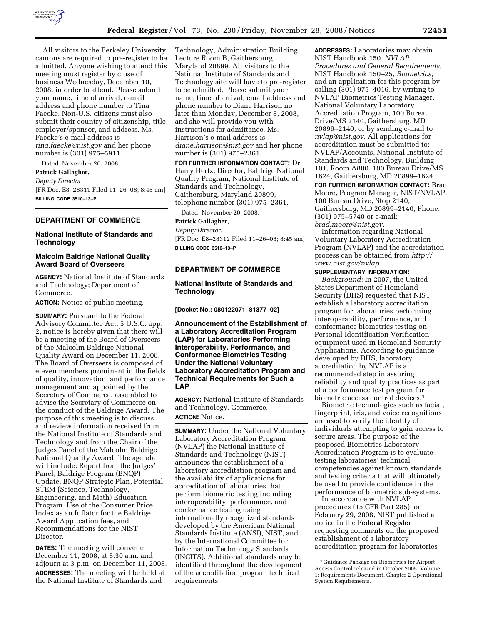

All visitors to the Berkeley University campus are required to pre-register to be admitted. Anyone wishing to attend this meeting must register by close of business Wednesday, December 10, 2008, in order to attend. Please submit your name, time of arrival, e-mail address and phone number to Tina Faecke. Non-U.S. citizens must also submit their country of citizenship, title, employer/sponsor, and address. Ms. Faecke's e-mail address is *tina.faecke@nist.gov* and her phone number is (301) 975–5911.

Dated: November 20, 2008.

# **Patrick Gallagher,**

*Deputy Director.* 

[FR Doc. E8–28311 Filed 11–26–08; 8:45 am] **BILLING CODE 3510–13–P** 

# **DEPARTMENT OF COMMERCE**

# **National Institute of Standards and Technology**

# **Malcolm Baldrige National Quality Award Board of Overseers**

**AGENCY:** National Institute of Standards and Technology; Department of Commerce.

**ACTION:** Notice of public meeting.

**SUMMARY:** Pursuant to the Federal Advisory Committee Act, 5 U.S.C. app. 2, notice is hereby given that there will be a meeting of the Board of Overseers of the Malcolm Baldrige National Quality Award on December 11, 2008. The Board of Overseers is composed of eleven members prominent in the fields of quality, innovation, and performance management and appointed by the Secretary of Commerce, assembled to advise the Secretary of Commerce on the conduct of the Baldrige Award. The purpose of this meeting is to discuss and review information received from the National Institute of Standards and Technology and from the Chair of the Judges Panel of the Malcolm Baldrige National Quality Award. The agenda will include: Report from the Judges' Panel, Baldrige Program (BNQP) Update, BNQP Strategic Plan, Potential STEM (Science, Technology, Engineering, and Math) Education Program, Use of the Consumer Price Index as an Inflator for the Baldrige Award Application fees, and Recommendations for the NIST Director.

**DATES:** The meeting will convene December 11, 2008, at 8:30 a.m. and adjourn at 3 p.m. on December 11, 2008. **ADDRESSES:** The meeting will be held at the National Institute of Standards and

Technology, Administration Building, Lecture Room B, Gaithersburg, Maryland 20899. All visitors to the National Institute of Standards and Technology site will have to pre-register to be admitted. Please submit your name, time of arrival, email address and phone number to Diane Harrison no later than Monday, December 8, 2008, and she will provide you with instructions for admittance. Ms. Harrison's e-mail address is *diane.harrison@nist.gov* and her phone number is (301) 975–2361.

**FOR FURTHER INFORMATION CONTACT:** Dr. Harry Hertz, Director, Baldrige National Quality Program, National Institute of Standards and Technology, Gaithersburg, Maryland 20899, telephone number (301) 975–2361.

Dated: November 20, 2008.

# **Patrick Gallagher,**

*Deputy Director.* 

[FR Doc. E8–28312 Filed 11–26–08; 8:45 am] **BILLING CODE 3510–13–P** 

# **DEPARTMENT OF COMMERCE**

# **National Institute of Standards and Technology**

**[Docket No.: 080122071–81377–02]** 

**Announcement of the Establishment of a Laboratory Accreditation Program (LAP) for Laboratories Performing Interoperability, Performance, and Conformance Biometrics Testing Under the National Voluntary Laboratory Accreditation Program and Technical Requirements for Such a LAP** 

**AGENCY:** National Institute of Standards and Technology, Commerce.

# **ACTION:** Notice.

**SUMMARY:** Under the National Voluntary Laboratory Accreditation Program (NVLAP) the National Institute of Standards and Technology (NIST) announces the establishment of a laboratory accreditation program and the availability of applications for accreditation of laboratories that perform biometric testing including interoperability, performance, and conformance testing using internationally recognized standards developed by the American National Standards Institute (ANSI), NIST, and by the International Committee for Information Technology Standards (INCITS). Additional standards may be identified throughout the development of the accreditation program technical requirements.

**ADDRESSES:** Laboratories may obtain NIST Handbook 150, *NVLAP Procedures and General Requirements,*  NIST Handbook 150–25, *Biometrics,*  and an application for this program by calling (301) 975–4016, by writing to NVLAP Biometrics Testing Manager, National Voluntary Laboratory Accreditation Program, 100 Bureau Drive/MS 2140, Gaithersburg, MD 20899–2140, or by sending e-mail to *nvlap@nist.gov.* All applications for accreditation must be submitted to: NVLAP/Accounts, National Institute of Standards and Technology, Building 101, Room A800, 100 Bureau Drive/MS 1624, Gaithersburg, MD 20899–1624.

**FOR FURTHER INFORMATION CONTACT:** Brad Moore, Program Manager, NIST/NVLAP, 100 Bureau Drive, Stop 2140, Gaithersburg, MD 20899-2140, Phone: (301) 975–5740 or e-mail: *brad.moore@nist.gov.* 

Information regarding National Voluntary Laboratory Accreditation Program (NVLAP) and the accreditation process can be obtained from *http:// www.nist.gov/nvlap.* 

#### **SUPPLEMENTARY INFORMATION:**

*Background:* In 2007, the United States Department of Homeland Security (DHS) requested that NIST establish a laboratory accreditation program for laboratories performing interoperability, performance, and conformance biometrics testing on Personal Identification Verification equipment used in Homeland Security Applications. According to guidance developed by DHS, laboratory accreditation by NVLAP is a recommended step in assuring reliability and quality practices as part of a conformance test program for biometric access control devices.1

Biometric technologies such as facial, fingerprint, iris, and voice recognitions are used to verify the identity of individuals attempting to gain access to secure areas. The purpose of the proposed Biometrics Laboratory Accreditation Program is to evaluate testing laboratories' technical competencies against known standards and testing criteria that will ultimately be used to provide confidence in the performance of biometric sub-systems.

In accordance with NVLAP procedures (15 CFR Part 285), on February 29, 2008, NIST published a notice in the **Federal Register**  requesting comments on the proposed establishment of a laboratory accreditation program for laboratories

<sup>1</sup> Guidance Package on Biometrics for Airport Access Control released in October 2005, Volume 1: Requirements Document, Chapter 2 Operational System Requirements.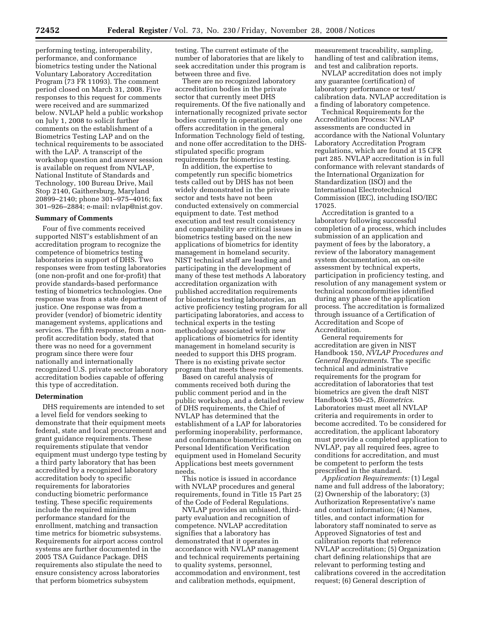performing testing, interoperability, performance, and conformance biometrics testing under the National Voluntary Laboratory Accreditation Program (73 FR 11093). The comment period closed on March 31, 2008. Five responses to this request for comments were received and are summarized below. NVLAP held a public workshop on July 1, 2008 to solicit further comments on the establishment of a Biometrics Testing LAP and on the technical requirements to be associated with the LAP. A transcript of the workshop question and answer session is available on request from NVLAP, National Institute of Standards and Technology, 100 Bureau Drive, Mail Stop 2140, Gaithersburg, Maryland 20899–2140; phone 301–975–4016; fax 301–926–2884; e-mail: nvlap@nist.gov.

#### **Summary of Comments**

Four of five comments received supported NIST's establishment of an accreditation program to recognize the competence of biometrics testing laboratories in support of DHS. Two responses were from testing laboratories (one non-profit and one for-profit) that provide standards-based performance testing of biometrics technologies. One response was from a state department of justice. One response was from a provider (vendor) of biometric identity management systems, applications and services. The fifth response, from a nonprofit accreditation body, stated that there was no need for a government program since there were four nationally and internationally recognized U.S. private sector laboratory accreditation bodies capable of offering this type of accreditation.

#### **Determination**

DHS requirements are intended to set a level field for vendors seeking to demonstrate that their equipment meets federal, state and local procurement and grant guidance requirements. These requirements stipulate that vendor equipment must undergo type testing by a third party laboratory that has been accredited by a recognized laboratory accreditation body to specific requirements for laboratories conducting biometric performance testing. These specific requirements include the required minimum performance standard for the enrollment, matching and transaction time metrics for biometric subsystems. Requirements for airport access control systems are further documented in the 2005 TSA Guidance Package. DHS requirements also stipulate the need to ensure consistency across laboratories that perform biometrics subsystem

testing. The current estimate of the number of laboratories that are likely to seek accreditation under this program is between three and five.

There are no recognized laboratory accreditation bodies in the private sector that currently meet DHS requirements. Of the five nationally and internationally recognized private sector bodies currently in operation, only one offers accreditation in the general Information Technology field of testing, and none offer accreditation to the DHSstipulated specific program requirements for biometrics testing.

In addition, the expertise to competently run specific biometrics tests called out by DHS has not been widely demonstrated in the private sector and tests have not been conducted extensively on commercial equipment to date. Test method execution and test result consistency and comparability are critical issues in biometrics testing based on the new applications of biometrics for identity management in homeland security. NIST technical staff are leading and participating in the development of many of these test methods A laboratory accreditation organization with published accreditation requirements for biometrics testing laboratories, an active proficiency testing program for all participating laboratories, and access to technical experts in the testing methodology associated with new applications of biometrics for identity management in homeland security is needed to support this DHS program. There is no existing private sector program that meets these requirements.

Based on careful analysis of comments received both during the public comment period and in the public workshop, and a detailed review of DHS requirements, the Chief of NVLAP has determined that the establishment of a LAP for laboratories performing inoperability, performance, and conformance biometrics testing on Personal Identification Verification equipment used in Homeland Security Applications best meets government needs.

This notice is issued in accordance with NVLAP procedures and general requirements, found in Title 15 Part 25 of the Code of Federal Regulations.

NVLAP provides an unbiased, thirdparty evaluation and recognition of competence. NVLAP accreditation signifies that a laboratory has demonstrated that it operates in accordance with NVLAP management and technical requirements pertaining to quality systems, personnel, accommodation and environment, test and calibration methods, equipment,

measurement traceability, sampling, handling of test and calibration items, and test and calibration reports.

NVLAP accreditation does not imply any guarantee (certification) of laboratory performance or test/ calibration data. NVLAP accreditation is a finding of laboratory competence.

Technical Requirements for the Accreditation Process: NVLAP assessments are conducted in accordance with the National Voluntary Laboratory Accreditation Program regulations, which are found at 15 CFR part 285. NVLAP accreditation is in full conformance with relevant standards of the International Organization for Standardization (ISO) and the International Electrotechnical Commission (IEC), including ISO/IEC 17025.

Accreditation is granted to a laboratory following successful completion of a process, which includes submission of an application and payment of fees by the laboratory, a review of the laboratory management system documentation, an on-site assessment by technical experts, participation in proficiency testing, and resolution of any management system or technical nonconformities identified during any phase of the application process. The accreditation is formalized through issuance of a Certification of Accreditation and Scope of Accreditation.

General requirements for accreditation are given in NIST Handbook 150, *NVLAP Procedures and General Requirements*. The specific technical and administrative requirements for the program for accreditation of laboratories that test biometrics are given the draft NIST Handbook 150–25, *Biometrics*. Laboratories must meet all NVLAP criteria and requirements in order to become accredited. To be considered for accreditation, the applicant laboratory must provide a completed application to NVLAP, pay all required fees, agree to conditions for accreditation, and must be competent to perform the tests prescribed in the standard.

*Application Requirements:* (1) Legal name and full address of the laboratory; (2) Ownership of the laboratory; (3) Authorization Representative's name and contact information; (4) Names, titles, and contact information for laboratory staff nominated to serve as Approved Signatories of test and calibration reports that reference NVLAP accreditation; (5) Organization chart defining relationships that are relevant to performing testing and calibrations covered in the accreditation request; (6) General description of